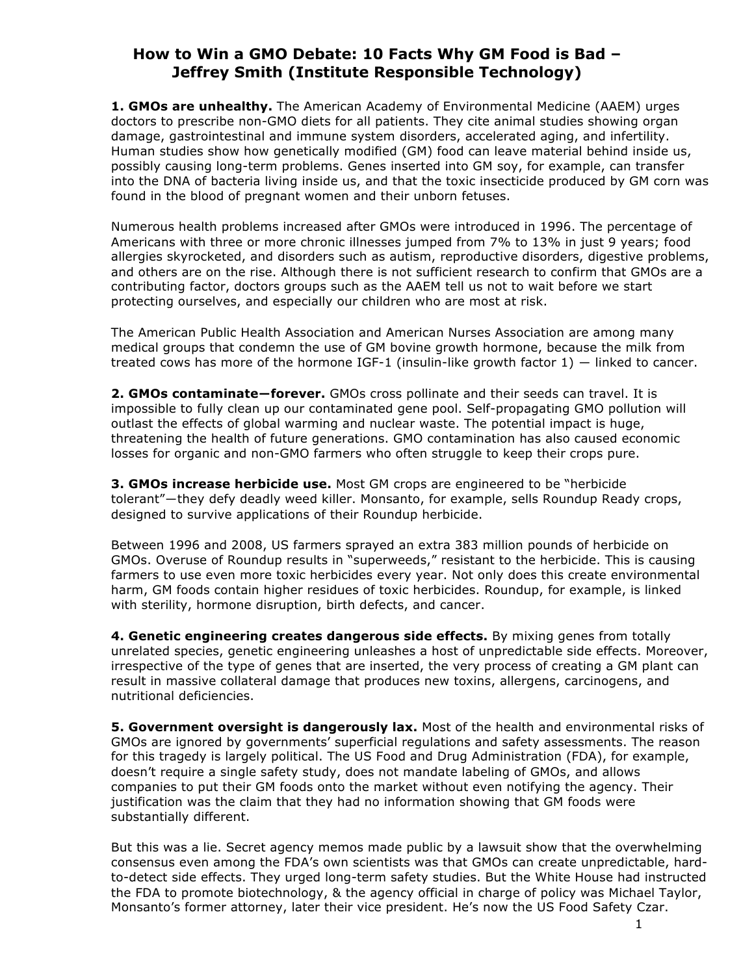## **How to Win a GMO Debate: 10 Facts Why GM Food is Bad – Jeffrey Smith (Institute Responsible Technology)**

**1. GMOs are unhealthy.** The American Academy of Environmental Medicine (AAEM) urges doctors to prescribe non-GMO diets for all patients. They cite animal studies showing organ damage, gastrointestinal and immune system disorders, accelerated aging, and infertility. Human studies show how genetically modified (GM) food can leave material behind inside us, possibly causing long-term problems. Genes inserted into GM soy, for example, can transfer into the DNA of bacteria living inside us, and that the toxic insecticide produced by GM corn was found in the blood of pregnant women and their unborn fetuses.

Numerous health problems increased after GMOs were introduced in 1996. The percentage of Americans with three or more chronic illnesses jumped from 7% to 13% in just 9 years; food allergies skyrocketed, and disorders such as autism, reproductive disorders, digestive problems, and others are on the rise. Although there is not sufficient research to confirm that GMOs are a contributing factor, doctors groups such as the AAEM tell us not to wait before we start protecting ourselves, and especially our children who are most at risk.

The American Public Health Association and American Nurses Association are among many medical groups that condemn the use of GM bovine growth hormone, because the milk from treated cows has more of the hormone IGF-1 (insulin-like growth factor 1) ― linked to cancer.

**2. GMOs contaminate―forever.** GMOs cross pollinate and their seeds can travel. It is impossible to fully clean up our contaminated gene pool. Self-propagating GMO pollution will outlast the effects of global warming and nuclear waste. The potential impact is huge, threatening the health of future generations. GMO contamination has also caused economic losses for organic and non-GMO farmers who often struggle to keep their crops pure.

**3. GMOs increase herbicide use.** Most GM crops are engineered to be "herbicide tolerant"―they defy deadly weed killer. Monsanto, for example, sells Roundup Ready crops, designed to survive applications of their Roundup herbicide.

Between 1996 and 2008, US farmers sprayed an extra 383 million pounds of herbicide on GMOs. Overuse of Roundup results in "superweeds," resistant to the herbicide. This is causing farmers to use even more toxic herbicides every year. Not only does this create environmental harm, GM foods contain higher residues of toxic herbicides. Roundup, for example, is linked with sterility, hormone disruption, birth defects, and cancer.

**4. Genetic engineering creates dangerous side effects.** By mixing genes from totally unrelated species, genetic engineering unleashes a host of unpredictable side effects. Moreover, irrespective of the type of genes that are inserted, the very process of creating a GM plant can result in massive collateral damage that produces new toxins, allergens, carcinogens, and nutritional deficiencies.

**5. Government oversight is dangerously lax.** Most of the health and environmental risks of GMOs are ignored by governments' superficial regulations and safety assessments. The reason for this tragedy is largely political. The US Food and Drug Administration (FDA), for example, doesn't require a single safety study, does not mandate labeling of GMOs, and allows companies to put their GM foods onto the market without even notifying the agency. Their justification was the claim that they had no information showing that GM foods were substantially different.

But this was a lie. Secret agency memos made public by a lawsuit show that the overwhelming consensus even among the FDA's own scientists was that GMOs can create unpredictable, hardto-detect side effects. They urged long-term safety studies. But the White House had instructed the FDA to promote biotechnology, & the agency official in charge of policy was Michael Taylor, Monsanto's former attorney, later their vice president. He's now the US Food Safety Czar.